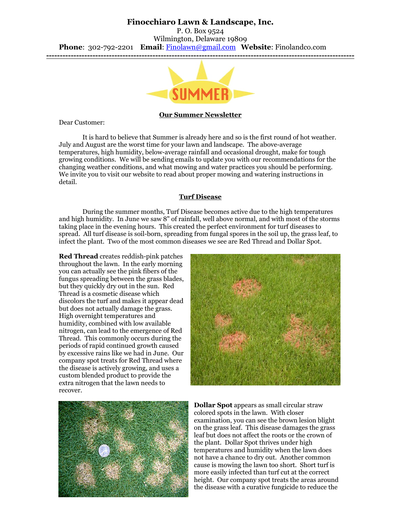# **Finocchiaro Lawn & Landscape, Inc.**

P. O. Box 9524 Wilmington, Delaware 19809 **Phone**: 302-792-2201 **Email**: [Finolawn@gmail.com](mailto:Finolawn@gmail.com) **Website**: Finolandco.com **-----------------------------------------------------------------------------------------------------------------**



### **Our Summer Newsletter**

Dear Customer:

It is hard to believe that Summer is already here and so is the first round of hot weather. July and August are the worst time for your lawn and landscape. The above-average temperatures, high humidity, below-average rainfall and occasional drought, make for tough growing conditions. We will be sending emails to update you with our recommendations for the changing weather conditions, and what mowing and water practices you should be performing. We invite you to visit our website to read about proper mowing and watering instructions in detail.

#### **Turf Disease**

During the summer months, Turf Disease becomes active due to the high temperatures and high humidity. In June we saw 8" of rainfall, well above normal, and with most of the storms taking place in the evening hours. This created the perfect environment for turf diseases to spread. All turf disease is soil-born, spreading from fungal spores in the soil up, the grass leaf, to infect the plant. Two of the most common diseases we see are Red Thread and Dollar Spot.

**Red Thread** creates reddish-pink patches throughout the lawn. In the early morning you can actually see the pink fibers of the fungus spreading between the grass blades, but they quickly dry out in the sun. Red Thread is a cosmetic disease which discolors the turf and makes it appear dead but does not actually damage the grass. High overnight temperatures and humidity, combined with low available nitrogen, can lead to the emergence of Red Thread. This commonly occurs during the periods of rapid continued growth caused by excessive rains like we had in June. Our company spot treats for Red Thread where the disease is actively growing, and uses a custom blended product to provide the extra nitrogen that the lawn needs to recover.





**Dollar Spot** appears as small circular straw colored spots in the lawn. With closer examination, you can see the brown lesion blight on the grass leaf. This disease damages the grass leaf but does not affect the roots or the crown of the plant. Dollar Spot thrives under high temperatures and humidity when the lawn does not have a chance to dry out. Another common cause is mowing the lawn too short. Short turf is more easily infected than turf cut at the correct height. Our company spot treats the areas around the disease with a curative fungicide to reduce the